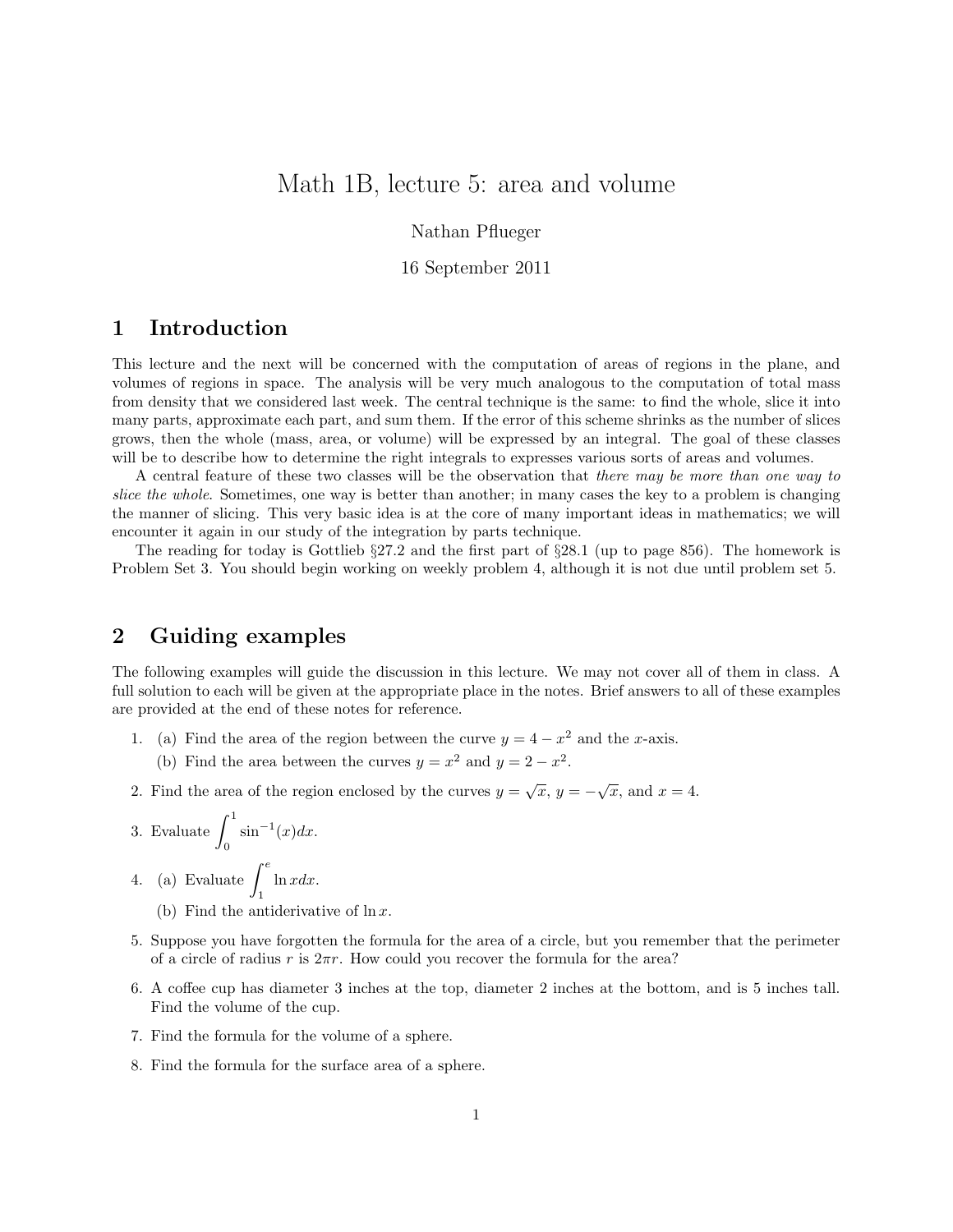# Math 1B, lecture 5: area and volume

Nathan Pflueger

### 16 September 2011

## 1 Introduction

This lecture and the next will be concerned with the computation of areas of regions in the plane, and volumes of regions in space. The analysis will be very much analogous to the computation of total mass from density that we considered last week. The central technique is the same: to find the whole, slice it into many parts, approximate each part, and sum them. If the error of this scheme shrinks as the number of slices grows, then the whole (mass, area, or volume) will be expressed by an integral. The goal of these classes will be to describe how to determine the right integrals to expresses various sorts of areas and volumes.

A central feature of these two classes will be the observation that there may be more than one way to slice the whole. Sometimes, one way is better than another; in many cases the key to a problem is changing the manner of slicing. This very basic idea is at the core of many important ideas in mathematics; we will encounter it again in our study of the integration by parts technique.

The reading for today is Gottlieb §27.2 and the first part of §28.1 (up to page 856). The homework is Problem Set 3. You should begin working on weekly problem 4, although it is not due until problem set 5.

# 2 Guiding examples

The following examples will guide the discussion in this lecture. We may not cover all of them in class. A full solution to each will be given at the appropriate place in the notes. Brief answers to all of these examples are provided at the end of these notes for reference.

- 1. (a) Find the area of the region between the curve  $y = 4 x^2$  and the x-axis.
	- (b) Find the area between the curves  $y = x^2$  and  $y = 2 x^2$ .
- 2. Find the area of the region enclosed by the curves  $y = \sqrt{x}$ ,  $y = -\sqrt{x}$ , and  $x = 4$ .

3. Evaluate 
$$
\int_0^1 \sin^{-1}(x) dx.
$$

- 4. (a) Evaluate  $\int_{0}^{e}$ 1  $ln x dx$ .
	- (b) Find the antiderivative of  $\ln x$ .
- 5. Suppose you have forgotten the formula for the area of a circle, but you remember that the perimeter of a circle of radius r is  $2\pi r$ . How could you recover the formula for the area?
- 6. A coffee cup has diameter 3 inches at the top, diameter 2 inches at the bottom, and is 5 inches tall. Find the volume of the cup.
- 7. Find the formula for the volume of a sphere.
- 8. Find the formula for the surface area of a sphere.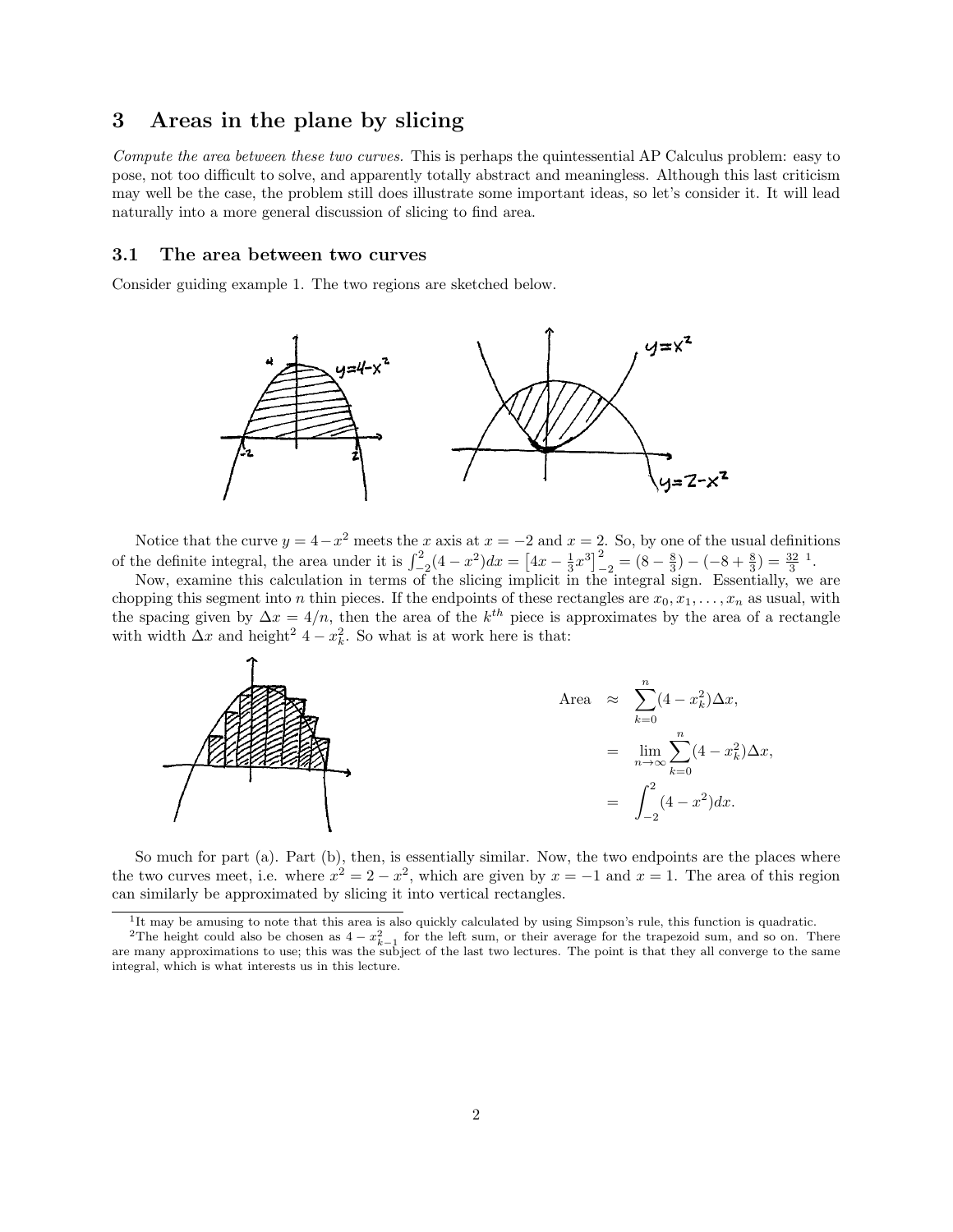## 3 Areas in the plane by slicing

Compute the area between these two curves. This is perhaps the quintessential AP Calculus problem: easy to pose, not too difficult to solve, and apparently totally abstract and meaningless. Although this last criticism may well be the case, the problem still does illustrate some important ideas, so let's consider it. It will lead naturally into a more general discussion of slicing to find area.

#### 3.1 The area between two curves

Consider guiding example 1. The two regions are sketched below.



Notice that the curve  $y = 4-x^2$  meets the x axis at  $x = -2$  and  $x = 2$ . So, by one of the usual definitions of the definite integral, the area under it is  $\int_{-2}^{2} (4 - x^2) dx = \left[ 4x - \frac{1}{3}x^3 \right]_{-2}^{2} = (8 - \frac{8}{3}) - (-8 + \frac{8}{3}) = \frac{32}{3}$ <sup>1</sup>.

Now, examine this calculation in terms of the slicing implicit in the integral sign. Essentially, we are chopping this segment into n thin pieces. If the endpoints of these rectangles are  $x_0, x_1, \ldots, x_n$  as usual, with the spacing given by  $\Delta x = 4/n$ , then the area of the k<sup>th</sup> piece is approximates by the area of a rectangle with width  $\Delta x$  and height<sup>2</sup> 4 –  $x_k^2$ . So what is at work here is that:



So much for part (a). Part (b), then, is essentially similar. Now, the two endpoints are the places where the two curves meet, i.e. where  $x^2 = 2 - x^2$ , which are given by  $x = -1$  and  $x = 1$ . The area of this region can similarly be approximated by slicing it into vertical rectangles.

<sup>&</sup>lt;sup>1</sup>It may be amusing to note that this area is also quickly calculated by using Simpson's rule, this function is quadratic.

<sup>&</sup>lt;sup>2</sup>The height could also be chosen as  $4 - x_{k-1}^2$  for the left sum, or their average for the trapezoid sum, and so on. There are many approximations to use; this was the subject of the last two lectures. The point is that they all converge to the same integral, which is what interests us in this lecture.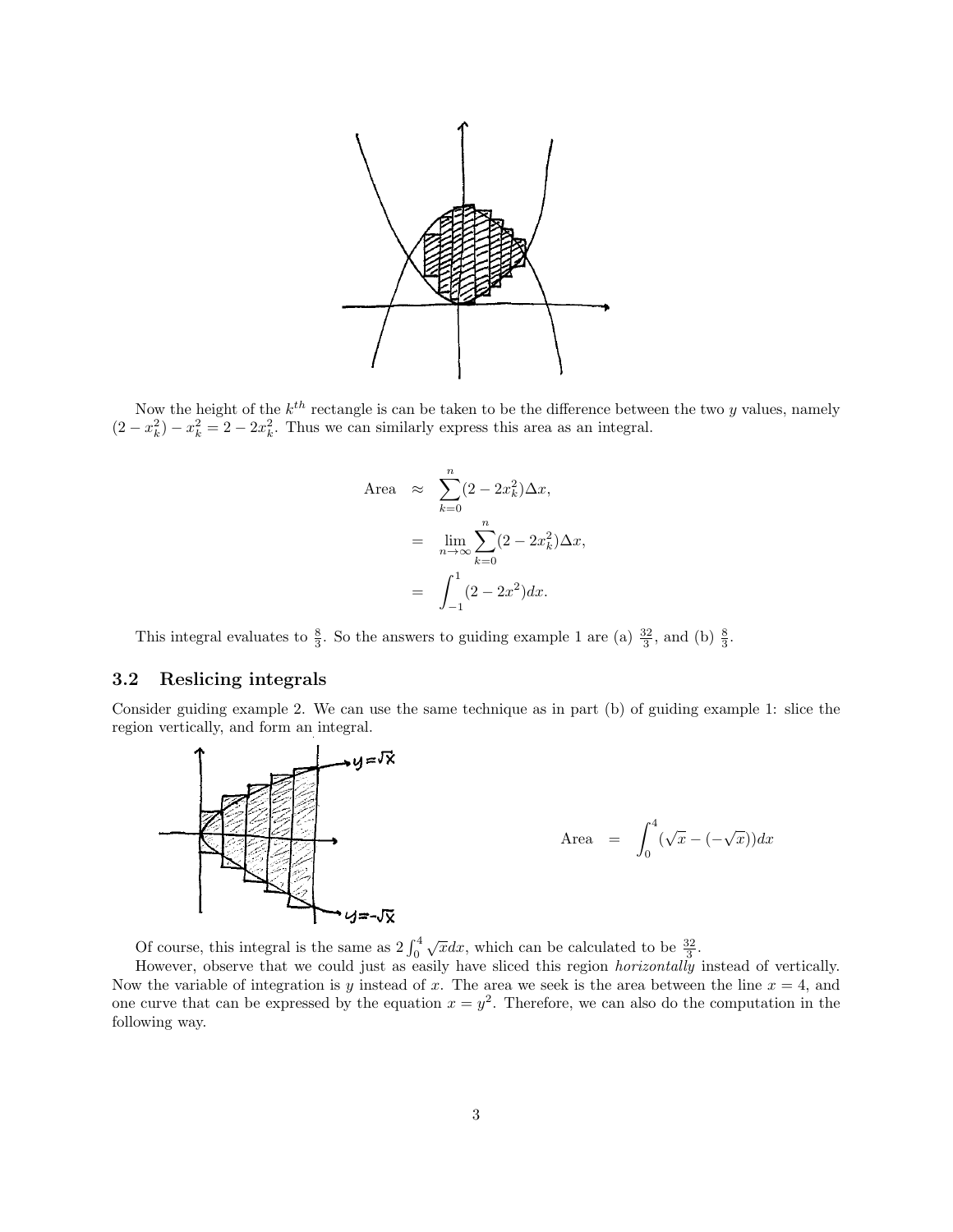

Now the height of the  $k^{th}$  rectangle is can be taken to be the difference between the two y values, namely  $(2 - x_k^2) - x_k^2 = 2 - 2x_k^2$ . Thus we can similarly express this area as an integral.

Area 
$$
\approx \sum_{k=0}^{n} (2 - 2x_k^2) \Delta x
$$
,  
\n
$$
= \lim_{n \to \infty} \sum_{k=0}^{n} (2 - 2x_k^2) \Delta x
$$
\n
$$
= \int_{-1}^{1} (2 - 2x^2) dx.
$$

This integral evaluates to  $\frac{8}{3}$ . So the answers to guiding example 1 are (a)  $\frac{32}{3}$ , and (b)  $\frac{8}{3}$ .

## 3.2 Reslicing integrals

Consider guiding example 2. We can use the same technique as in part (b) of guiding example 1: slice the region vertically, and form an integral.



Of course, this integral is the same as  $2 \int_0^4$  $\sqrt{x}dx$ , which can be calculated to be  $\frac{32}{3}$ .

However, observe that we could just as easily have sliced this region *horizontally* instead of vertically. Now the variable of integration is y instead of x. The area we seek is the area between the line  $x = 4$ , and one curve that can be expressed by the equation  $x = y^2$ . Therefore, we can also do the computation in the following way.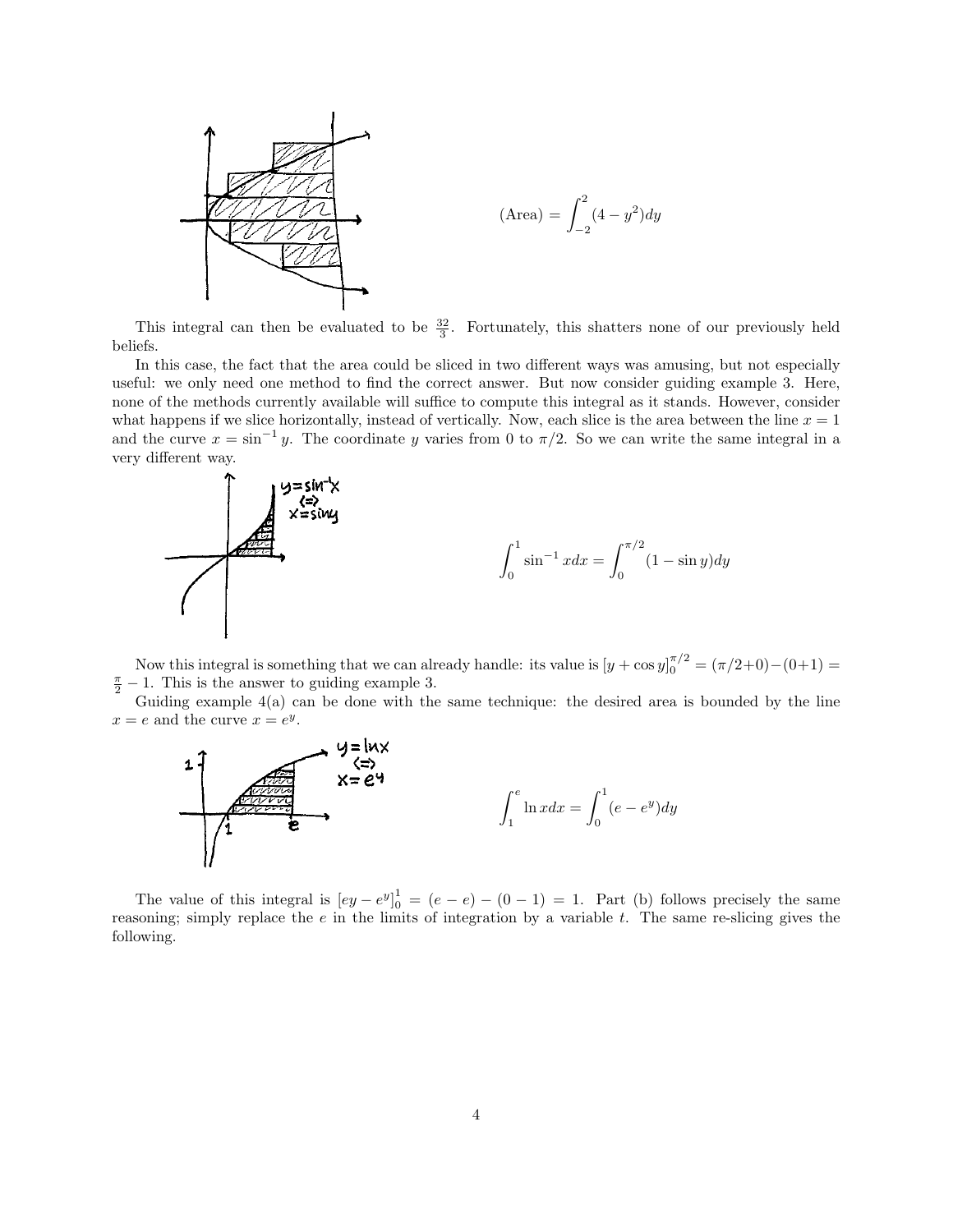

This integral can then be evaluated to be  $\frac{32}{3}$ . Fortunately, this shatters none of our previously held beliefs.

In this case, the fact that the area could be sliced in two different ways was amusing, but not especially useful: we only need one method to find the correct answer. But now consider guiding example 3. Here, none of the methods currently available will suffice to compute this integral as it stands. However, consider what happens if we slice horizontally, instead of vertically. Now, each slice is the area between the line  $x = 1$ and the curve  $x = \sin^{-1} y$ . The coordinate y varies from 0 to  $\pi/2$ . So we can write the same integral in a very different way.



Now this integral is something that we can already handle: its value is  $[y + \cos y]_0^{\pi/2} = (\pi/2+0) - (0+1) =$  $\frac{\pi}{2} - 1$ . This is the answer to guiding example 3.

Guiding example  $4(a)$  can be done with the same technique: the desired area is bounded by the line  $x = e$  and the curve  $x = e^y$ .



The value of this integral is  $[ey - e^y]_0^1 = (e - e) - (0 - 1) = 1$ . Part (b) follows precisely the same reasoning; simply replace the  $e$  in the limits of integration by a variable  $t$ . The same re-slicing gives the following.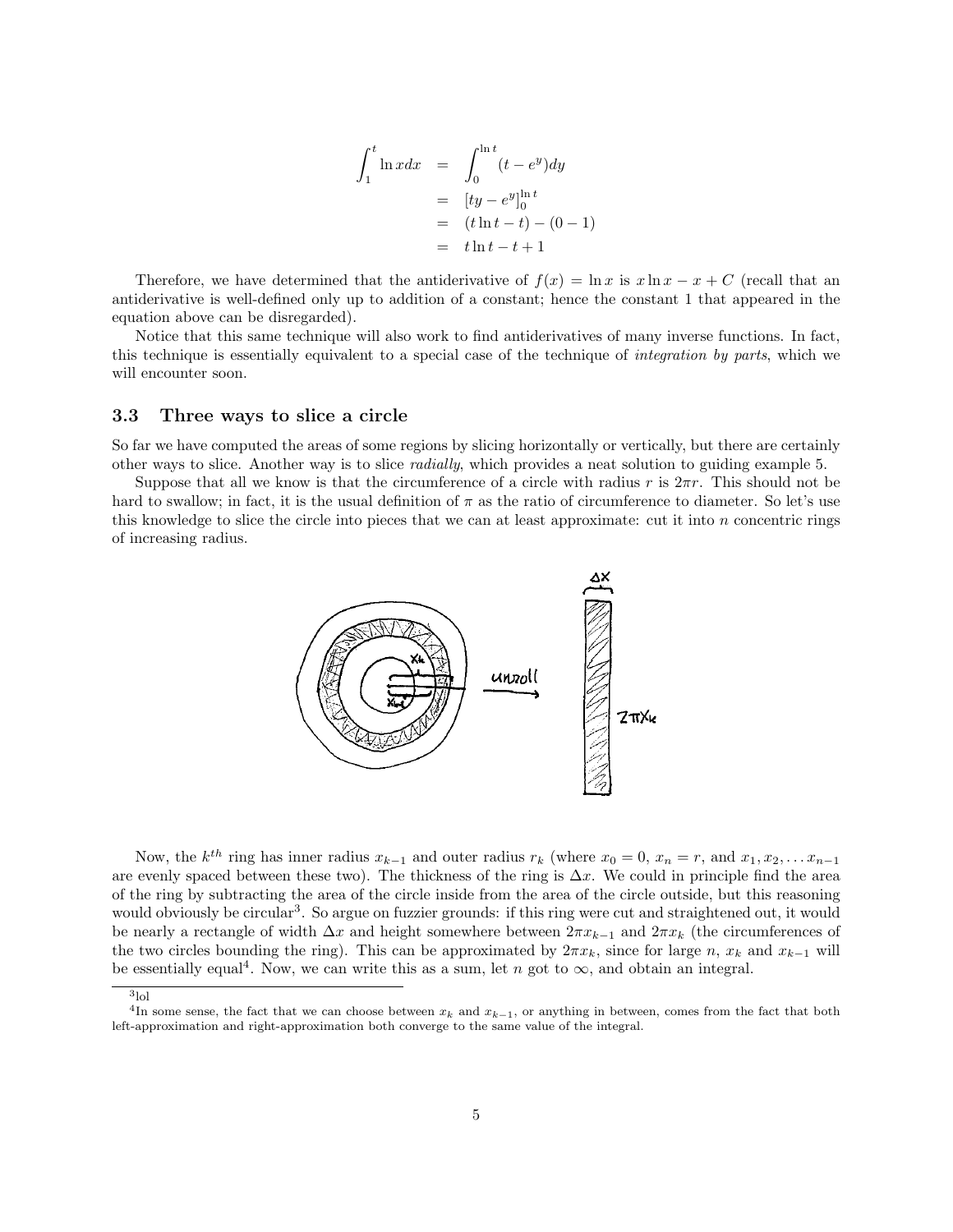$$
\int_{1}^{t} \ln x dx = \int_{0}^{\ln t} (t - e^{y}) dy
$$
  
=  $[ty - e^{y}]_{0}^{\ln t}$   
=  $(t \ln t - t) - (0 - 1)$   
=  $t \ln t - t + 1$ 

 $\cdot$ 

Therefore, we have determined that the antiderivative of  $f(x) = \ln x$  is  $x \ln x - x + C$  (recall that an antiderivative is well-defined only up to addition of a constant; hence the constant 1 that appeared in the equation above can be disregarded).

Notice that this same technique will also work to find antiderivatives of many inverse functions. In fact, this technique is essentially equivalent to a special case of the technique of integration by parts, which we will encounter soon.

#### 3.3 Three ways to slice a circle

So far we have computed the areas of some regions by slicing horizontally or vertically, but there are certainly other ways to slice. Another way is to slice radially, which provides a neat solution to guiding example 5.

Suppose that all we know is that the circumference of a circle with radius r is  $2\pi r$ . This should not be hard to swallow; in fact, it is the usual definition of  $\pi$  as the ratio of circumference to diameter. So let's use this knowledge to slice the circle into pieces that we can at least approximate: cut it into  $n$  concentric rings of increasing radius.



Now, the  $k^{th}$  ring has inner radius  $x_{k-1}$  and outer radius  $r_k$  (where  $x_0 = 0$ ,  $x_n = r$ , and  $x_1, x_2, \ldots x_{n-1}$ are evenly spaced between these two). The thickness of the ring is  $\Delta x$ . We could in principle find the area of the ring by subtracting the area of the circle inside from the area of the circle outside, but this reasoning would obviously be circular<sup>3</sup>. So argue on fuzzier grounds: if this ring were cut and straightened out, it would be nearly a rectangle of width  $\Delta x$  and height somewhere between  $2\pi x_{k-1}$  and  $2\pi x_k$  (the circumferences of the two circles bounding the ring). This can be approximated by  $2\pi x_k$ , since for large n,  $x_k$  and  $x_{k-1}$  will be essentially equal<sup>4</sup>. Now, we can write this as a sum, let n got to  $\infty$ , and obtain an integral.

<sup>3</sup> lol

<sup>&</sup>lt;sup>4</sup>In some sense, the fact that we can choose between  $x_k$  and  $x_{k-1}$ , or anything in between, comes from the fact that both left-approximation and right-approximation both converge to the same value of the integral.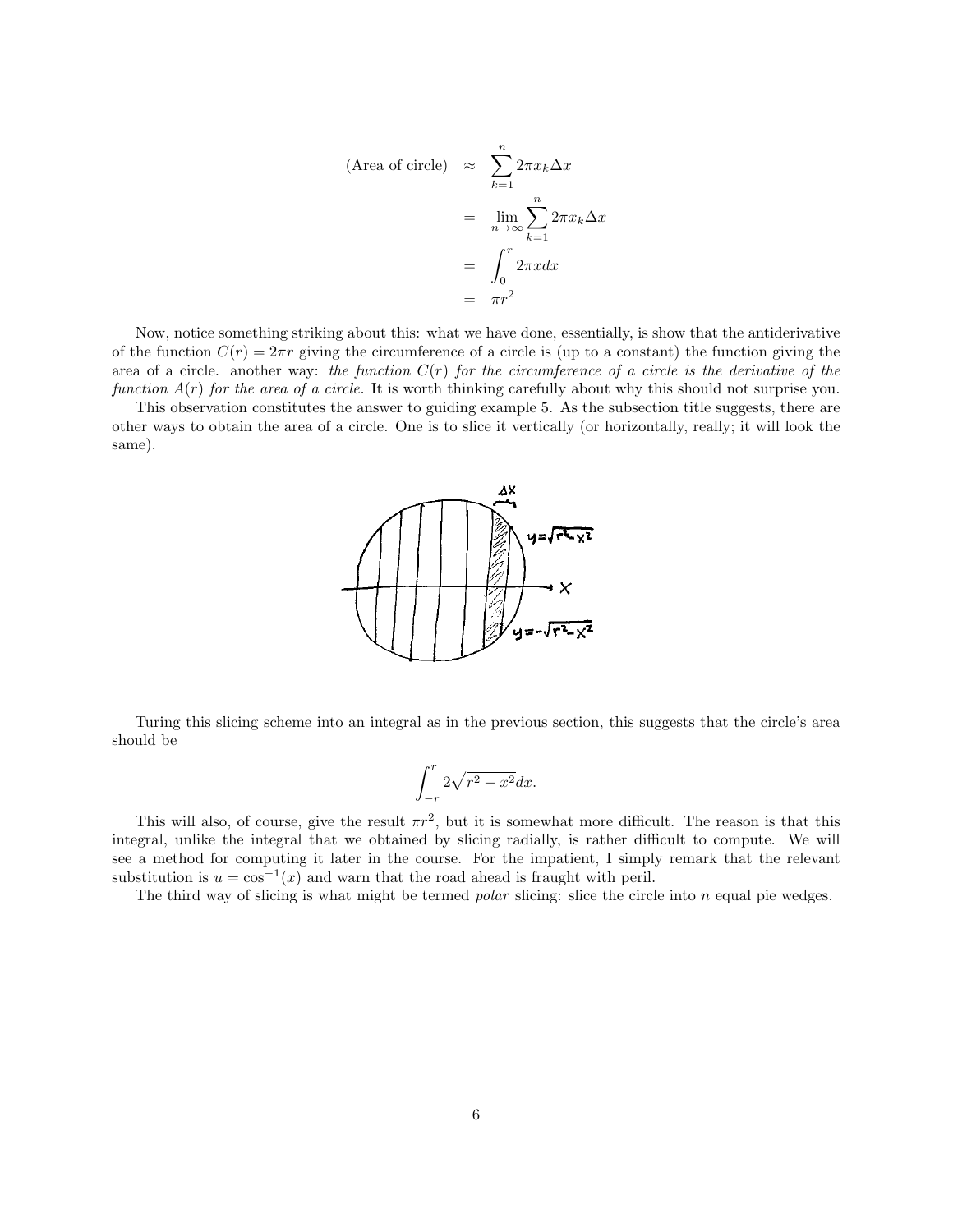(Area of circle) 
$$
\approx \sum_{k=1}^{n} 2\pi x_k \Delta x
$$
  
\n
$$
= \lim_{n \to \infty} \sum_{k=1}^{n} 2\pi x_k \Delta x
$$
\n
$$
= \int_{0}^{r} 2\pi x dx
$$
\n
$$
= \pi r^2
$$

Now, notice something striking about this: what we have done, essentially, is show that the antiderivative of the function  $C(r) = 2\pi r$  giving the circumference of a circle is (up to a constant) the function giving the area of a circle. another way: the function  $C(r)$  for the circumference of a circle is the derivative of the function  $A(r)$  for the area of a circle. It is worth thinking carefully about why this should not surprise you.

This observation constitutes the answer to guiding example 5. As the subsection title suggests, there are other ways to obtain the area of a circle. One is to slice it vertically (or horizontally, really; it will look the same).



Turing this slicing scheme into an integral as in the previous section, this suggests that the circle's area should be

$$
\int_{-r}^{r} 2\sqrt{r^2 - x^2} dx.
$$

This will also, of course, give the result  $\pi r^2$ , but it is somewhat more difficult. The reason is that this integral, unlike the integral that we obtained by slicing radially, is rather difficult to compute. We will see a method for computing it later in the course. For the impatient, I simply remark that the relevant substitution is  $u = \cos^{-1}(x)$  and warn that the road ahead is fraught with peril.

The third way of slicing is what might be termed *polar* slicing: slice the circle into  $n$  equal pie wedges.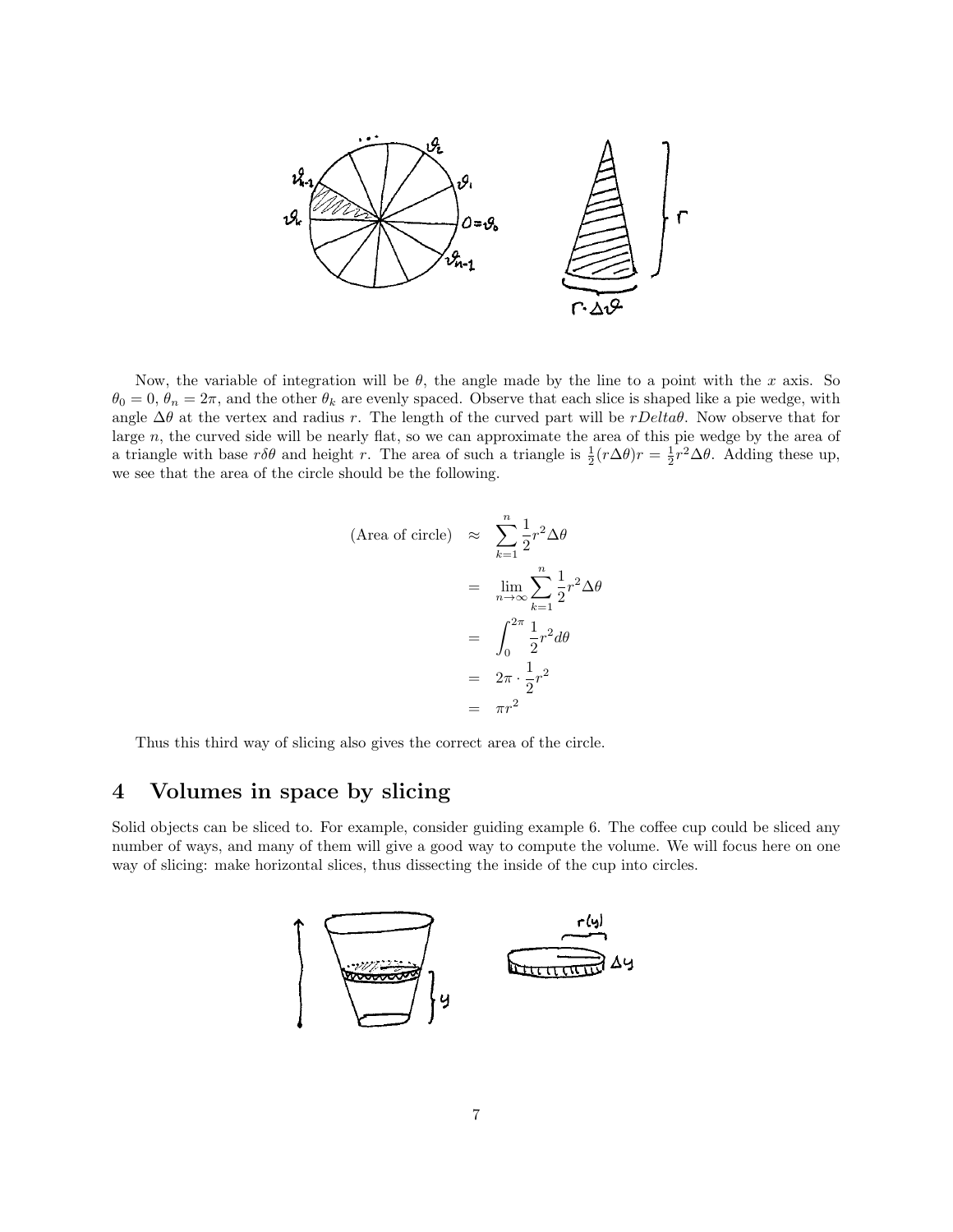

Now, the variable of integration will be  $\theta$ , the angle made by the line to a point with the x axis. So  $\theta_0 = 0$ ,  $\theta_n = 2\pi$ , and the other  $\theta_k$  are evenly spaced. Observe that each slice is shaped like a pie wedge, with angle  $\Delta\theta$  at the vertex and radius r. The length of the curved part will be rDelta $\theta$ . Now observe that for large n, the curved side will be nearly flat, so we can approximate the area of this pie wedge by the area of a triangle with base  $r\delta\theta$  and height r. The area of such a triangle is  $\frac{1}{2}(r\Delta\theta)r = \frac{1}{2}r^2\Delta\theta$ . Adding these up, we see that the area of the circle should be the following.

$$
\begin{aligned}\n\text{(Area of circle)} &\approx \sum_{k=1}^{n} \frac{1}{2} r^2 \Delta \theta \\
&= \lim_{n \to \infty} \sum_{k=1}^{n} \frac{1}{2} r^2 \Delta \theta \\
&= \int_{0}^{2\pi} \frac{1}{2} r^2 d\theta \\
&= 2\pi \cdot \frac{1}{2} r^2 \\
&= \pi r^2\n\end{aligned}
$$

Thus this third way of slicing also gives the correct area of the circle.

# 4 Volumes in space by slicing

Solid objects can be sliced to. For example, consider guiding example 6. The coffee cup could be sliced any number of ways, and many of them will give a good way to compute the volume. We will focus here on one way of slicing: make horizontal slices, thus dissecting the inside of the cup into circles.

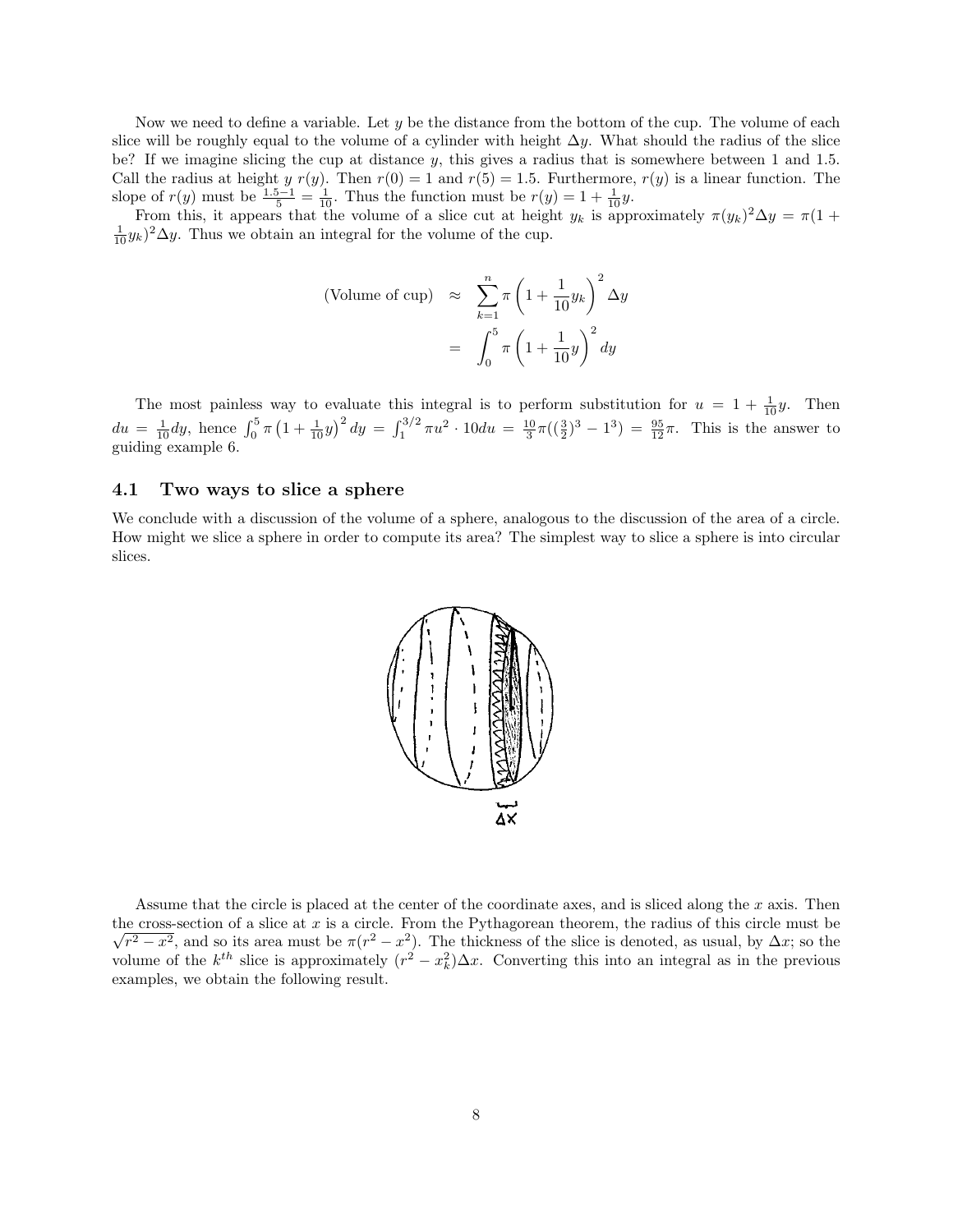Now we need to define a variable. Let  $y$  be the distance from the bottom of the cup. The volume of each slice will be roughly equal to the volume of a cylinder with height  $\Delta y$ . What should the radius of the slice be? If we imagine slicing the cup at distance  $y$ , this gives a radius that is somewhere between 1 and 1.5. Call the radius at height y  $r(y)$ . Then  $r(0) = 1$  and  $r(5) = 1.5$ . Furthermore,  $r(y)$  is a linear function. The slope of  $r(y)$  must be  $\frac{1.5-1}{5} = \frac{1}{10}$ . Thus the function must be  $r(y) = 1 + \frac{1}{10}y$ .

From this, it appears that the volume of a slice cut at height  $y_k$  is approximately  $\pi(y_k)^2 \Delta y = \pi(1 +$  $\frac{1}{10}y_k)^2\Delta y$ . Thus we obtain an integral for the volume of the cup.

(Volume of cup) 
$$
\approx \sum_{k=1}^{n} \pi \left( 1 + \frac{1}{10} y_k \right)^2 \Delta y
$$
  

$$
= \int_0^5 \pi \left( 1 + \frac{1}{10} y \right)^2 dy
$$

The most painless way to evaluate this integral is to perform substitution for  $u = 1 + \frac{1}{10}y$ . Then  $du = \frac{1}{10}dy$ , hence  $\int_0^5 \pi (1 + \frac{1}{10}y)^2 dy = \int_1^{3/2} \pi u^2 \cdot 10 du = \frac{10}{3} \pi ((\frac{3}{2})^3 - 1^3) = \frac{95}{12} \pi$ . This is the answer to guiding example 6.

### 4.1 Two ways to slice a sphere

We conclude with a discussion of the volume of a sphere, analogous to the discussion of the area of a circle. How might we slice a sphere in order to compute its area? The simplest way to slice a sphere is into circular slices.



Assume that the circle is placed at the center of the coordinate axes, and is sliced along the x axis. Then the cross-section of a slice at x is a circle. From the Pythagorean theorem, the radius of this circle must be  $\sqrt{r^2-x^2}$ , and so its area must be  $\pi(r^2-x^2)$ . The thickness of the slice is denoted, as usual, by  $\Delta x$ ; so the volume of the  $k^{th}$  slice is approximately  $(r^2 - x_k^2)\Delta x$ . Converting this into an integral as in the previous examples, we obtain the following result.